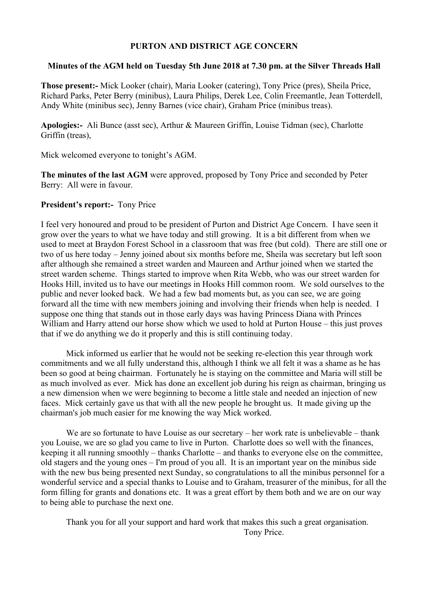#### **PURTON AND DISTRICT AGE CONCERN**

#### **Minutes of the AGM held on Tuesday 5th June 2018 at 7.30 pm. at the Silver Threads Hall**

**Those present:-** Mick Looker (chair), Maria Looker (catering), Tony Price (pres), Sheila Price, Richard Parks, Peter Berry (minibus), Laura Philips, Derek Lee, Colin Freemantle, Jean Totterdell, Andy White (minibus sec), Jenny Barnes (vice chair), Graham Price (minibus treas).

**Apologies:-** Ali Bunce (asst sec), Arthur & Maureen Griffin, Louise Tidman (sec), Charlotte Griffin (treas),

Mick welcomed everyone to tonight's AGM.

**The minutes of the last AGM** were approved, proposed by Tony Price and seconded by Peter Berry: All were in favour.

#### **President's report:-** Tony Price

I feel very honoured and proud to be president of Purton and District Age Concern. I have seen it grow over the years to what we have today and still growing. It is a bit different from when we used to meet at Braydon Forest School in a classroom that was free (but cold). There are still one or two of us here today – Jenny joined about six months before me, Sheila was secretary but left soon after although she remained a street warden and Maureen and Arthur joined when we started the street warden scheme. Things started to improve when Rita Webb, who was our street warden for Hooks Hill, invited us to have our meetings in Hooks Hill common room. We sold ourselves to the public and never looked back. We had a few bad moments but, as you can see, we are going forward all the time with new members joining and involving their friends when help is needed. I suppose one thing that stands out in those early days was having Princess Diana with Princes William and Harry attend our horse show which we used to hold at Purton House – this just proves that if we do anything we do it properly and this is still continuing today.

Mick informed us earlier that he would not be seeking re-election this year through work commitments and we all fully understand this, although I think we all felt it was a shame as he has been so good at being chairman. Fortunately he is staying on the committee and Maria will still be as much involved as ever. Mick has done an excellent job during his reign as chairman, bringing us a new dimension when we were beginning to become a little stale and needed an injection of new faces. Mick certainly gave us that with all the new people he brought us. It made giving up the chairman's job much easier for me knowing the way Mick worked.

We are so fortunate to have Louise as our secretary – her work rate is unbelievable – thank you Louise, we are so glad you came to live in Purton. Charlotte does so well with the finances, keeping it all running smoothly – thanks Charlotte – and thanks to everyone else on the committee, old stagers and the young ones – I'm proud of you all. It is an important year on the minibus side with the new bus being presented next Sunday, so congratulations to all the minibus personnel for a wonderful service and a special thanks to Louise and to Graham, treasurer of the minibus, for all the form filling for grants and donations etc. It was a great effort by them both and we are on our way to being able to purchase the next one.

Thank you for all your support and hard work that makes this such a great organisation. Tony Price.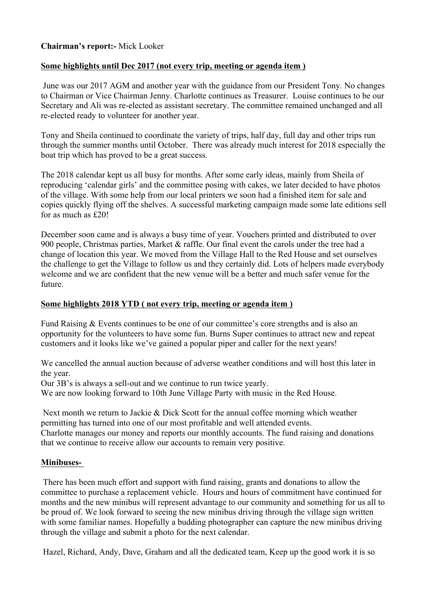## **Chairman's report:-** Mick Looker

#### **Some highlights until Dec 2017 (not every trip, meeting or agenda item )**

June was our 2017 AGM and another year with the guidance from our President Tony. No changes to Chairman or Vice Chairman Jenny. Charlotte continues as Treasurer. Louise continues to be our Secretary and Ali was re-elected as assistant secretary. The committee remained unchanged and all re-elected ready to volunteer for another year.

Tony and Sheila continued to coordinate the variety of trips, half day, full day and other trips run through the summer months until October. There was already much interest for 2018 especially the boat trip which has proved to be a great success.

The 2018 calendar kept us all busy for months. After some early ideas, mainly from Sheila of reproducing 'calendar girls' and the committee posing with cakes, we later decided to have photos of the village. With some help from our local printers we soon had a finished item for sale and copies quickly flying off the shelves. A successful marketing campaign made some late editions sell for as much as £20!

December soon came and is always a busy time of year. Vouchers printed and distributed to over 900 people, Christmas parties, Market & raffle. Our final event the carols under the tree had a change of location this year. We moved from the Village Hall to the Red House and set ourselves the challenge to get the Village to follow us and they certainly did. Lots of helpers made everybody welcome and we are confident that the new venue will be a better and much safer venue for the future.

#### **Some highlights 2018 YTD ( not every trip, meeting or agenda item )**

Fund Raising & Events continues to be one of our committee's core strengths and is also an opportunity for the volunteers to have some fun. Burns Super continues to attract new and repeat customers and it looks like we've gained a popular piper and caller for the next years!

We cancelled the annual auction because of adverse weather conditions and will host this later in the year.

Our 3B's is always a sell-out and we continue to run twice yearly.

We are now looking forward to 10th June Village Party with music in the Red House.

Next month we return to Jackie & Dick Scott for the annual coffee morning which weather permitting has turned into one of our most profitable and well attended events. Charlotte manages our money and reports our monthly accounts. The fund raising and donations that we continue to receive allow our accounts to remain very positive.

#### **Minibuses-**

There has been much effort and support with fund raising, grants and donations to allow the committee to purchase a replacement vehicle. Hours and hours of commitment have continued for months and the new minibus will represent advantage to our community and something for us all to be proud of. We look forward to seeing the new minibus driving through the village sign written with some familiar names. Hopefully a budding photographer can capture the new minibus driving through the village and submit a photo for the next calendar.

Hazel, Richard, Andy, Dave, Graham and all the dedicated team, Keep up the good work it is so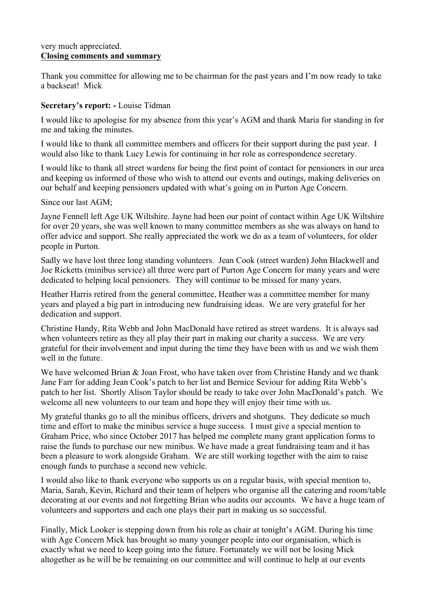#### very much appreciated. **Closing comments and summary**

Thank you committee for allowing me to be chairman for the past years and I'm now ready to take a backseat! Mick

## **Secretary's report: -** Louise Tidman

I would like to apologise for my absence from this year's AGM and thank Maria for standing in for me and taking the minutes.

I would like to thank all committee members and officers for their support during the past year. I would also like to thank Lucy Lewis for continuing in her role as correspondence secretary.

I would like to thank all street wardens for being the first point of contact for pensioners in our area and keeping us informed of those who wish to attend our events and outings, making deliveries on our behalf and keeping pensioners updated with what's going on in Purton Age Concern.

Since our last AGM<sup>-</sup>

Jayne Fennell left Age UK Wiltshire. Jayne had been our point of contact within Age UK Wiltshire for over 20 years, she was well known to many committee members as she was always on hand to offer advice and support. She really appreciated the work we do as a team of volunteers, for older people in Purton.

Sadly we have lost three long standing volunteers. Jean Cook (street warden) John Blackwell and Joe Ricketts (minibus service) all three were part of Purton Age Concern for many years and were dedicated to helping local pensioners. They will continue to be missed for many years.

Heather Harris retired from the general committee, Heather was a committee member for many years and played a big part in introducing new fundraising ideas. We are very grateful for her dedication and support.

Christine Handy, Rita Webb and John MacDonald have retired as street wardens. It is always sad when volunteers retire as they all play their part in making our charity a success. We are very grateful for their involvement and input during the time they have been with us and we wish them well in the future.

We have welcomed Brian & Joan Frost, who have taken over from Christine Handy and we thank Jane Farr for adding Jean Cook's patch to her list and Bernice Seviour for adding Rita Webb's patch to her list. Shortly Alison Taylor should be ready to take over John MacDonald's patch. We welcome all new volunteers to our team and hope they will enjoy their time with us.

My grateful thanks go to all the minibus officers, drivers and shotguns. They dedicate so much time and effort to make the minibus service a huge success. I must give a special mention to Graham Price, who since October 2017 has helped me complete many grant application forms to raise the funds to purchase our new minibus. We have made a great fundraising team and it has been a pleasure to work alongside Graham. We are still working together with the aim to raise enough funds to purchase a second new vehicle.

I would also like to thank everyone who supports us on a regular basis, with special mention to, Maria, Sarah, Kevin, Richard and their team of helpers who organise all the catering and room/table decorating at our events and not forgetting Brian who audits our accounts. We have a huge team of volunteers and supporters and each one plays their part in making us so successful.

Finally, Mick Looker is stepping down from his role as chair at tonight's AGM. During his time with Age Concern Mick has brought so many younger people into our organisation, which is exactly what we need to keep going into the future. Fortunately we will not be losing Mick altogether as he will be be remaining on our committee and will continue to help at our events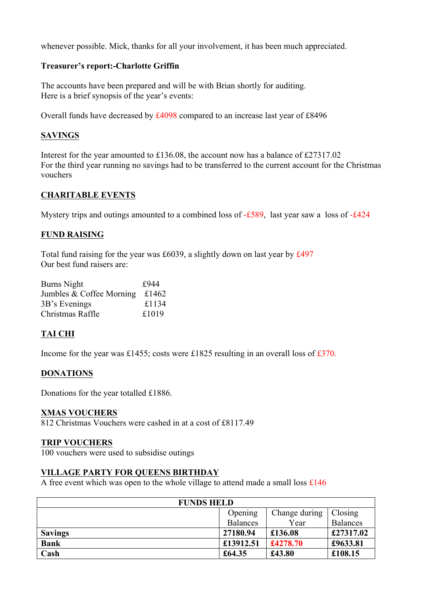whenever possible. Mick, thanks for all your involvement, it has been much appreciated.

## **Treasurer's report:-Charlotte Griffin**

The accounts have been prepared and will be with Brian shortly for auditing. Here is a brief synopsis of the year's events:

Overall funds have decreased by £4098 compared to an increase last year of £8496

## **SAVINGS**

Interest for the year amounted to £136.08, the account now has a balance of £27317.02 For the third year running no savings had to be transferred to the current account for the Christmas vouchers

## **CHARITABLE EVENTS**

Mystery trips and outings amounted to a combined loss of -£589, last year saw a loss of -£424

## **FUND RAISING**

Total fund raising for the year was £6039, a slightly down on last year by £497 Our best fund raisers are:

| £944  |
|-------|
| £1462 |
| £1134 |
| £1019 |
|       |

## **TAI CHI**

Income for the year was £1455; costs were £1825 resulting in an overall loss of £370.

## **DONATIONS**

Donations for the year totalled £1886.

## **XMAS VOUCHERS**

812 Christmas Vouchers were cashed in at a cost of £8117.49

## **TRIP VOUCHERS**

100 vouchers were used to subsidise outings

## **VILLAGE PARTY FOR QUEENS BIRTHDAY**

A free event which was open to the whole village to attend made a small loss £146

| <b>FUNDS HELD</b> |                 |               |           |
|-------------------|-----------------|---------------|-----------|
|                   | Opening         | Change during | Closing   |
|                   | <b>Balances</b> | Year          | Balances  |
| <b>Savings</b>    | 27180.94        | £136.08       | £27317.02 |
| <b>Bank</b>       | £13912.51       | £4278.70      | £9633.81  |
| Cash              | £64.35          | £43.80        | £108.15   |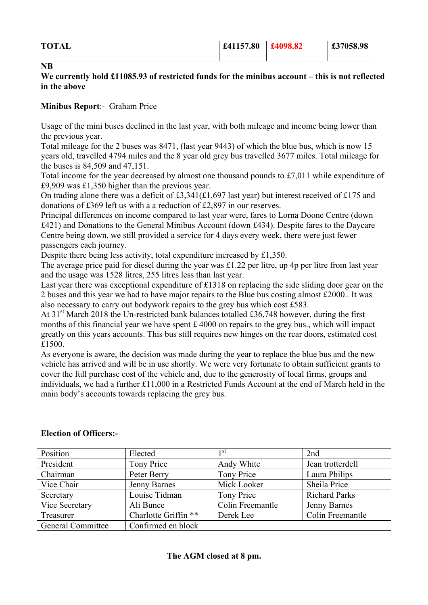| <b>TOTAL</b> | £41157.80 | £4098.82 | £37058.98<br>، ب |
|--------------|-----------|----------|------------------|
|              |           |          |                  |

#### **NB**

## **We currently hold £11085.93 of restricted funds for the minibus account – this is not reflected in the above**

## **Minibus Report**:- Graham Price

Usage of the mini buses declined in the last year, with both mileage and income being lower than the previous year.

Total mileage for the 2 buses was 8471, (last year 9443) of which the blue bus, which is now 15 years old, travelled 4794 miles and the 8 year old grey bus travelled 3677 miles. Total mileage for the buses is 84,509 and 47,151.

Total income for the year decreased by almost one thousand pounds to £7,011 while expenditure of £9,909 was £1,350 higher than the previous year.

On trading alone there was a deficit of £3,341(£1,697 last year) but interest received of £175 and donations of £369 left us with a a reduction of £2,897 in our reserves.

Principal differences on income compared to last year were, fares to Lorna Doone Centre (down £421) and Donations to the General Minibus Account (down £434). Despite fares to the Daycare Centre being down, we still provided a service for 4 days every week, there were just fewer passengers each journey.

Despite there being less activity, total expenditure increased by £1,350.

The average price paid for diesel during the year was £1.22 per litre, up 4p per litre from last year and the usage was 1528 litres, 255 litres less than last year.

Last year there was exceptional expenditure of £1318 on replacing the side sliding door gear on the 2 buses and this year we had to have major repairs to the Blue bus costing almost £2000.. It was also necessary to carry out bodywork repairs to the grey bus which cost £583.

At  $31<sup>st</sup>$  March 2018 the Un-restricted bank balances totalled £36,748 however, during the first months of this financial year we have spent  $\pounds$  4000 on repairs to the grey bus., which will impact greatly on this years accounts. This bus still requires new hinges on the rear doors, estimated cost £1500.

As everyone is aware, the decision was made during the year to replace the blue bus and the new vehicle has arrived and will be in use shortly. We were very fortunate to obtain sufficient grants to cover the full purchase cost of the vehicle and, due to the generosity of local firms, groups and individuals, we had a further £11,000 in a Restricted Funds Account at the end of March held in the main body's accounts towards replacing the grey bus.

| Position                 | Elected              | 1 <sup>st</sup>  | 2nd                  |
|--------------------------|----------------------|------------------|----------------------|
| President                | Tony Price           | Andy White       | Jean trotterdell     |
| Chairman                 | Peter Berry          | Tony Price       | Laura Philips        |
| Vice Chair               | <b>Jenny Barnes</b>  | Mick Looker      | Sheila Price         |
| Secretary                | Louise Tidman        | Tony Price       | <b>Richard Parks</b> |
| Vice Secretary           | Ali Bunce            | Colin Freemantle | Jenny Barnes         |
| Treasurer                | Charlotte Griffin ** | Derek Lee        | Colin Freemantle     |
| <b>General Committee</b> | Confirmed en block   |                  |                      |

## **Election of Officers:-**

## **The AGM closed at 8 pm.**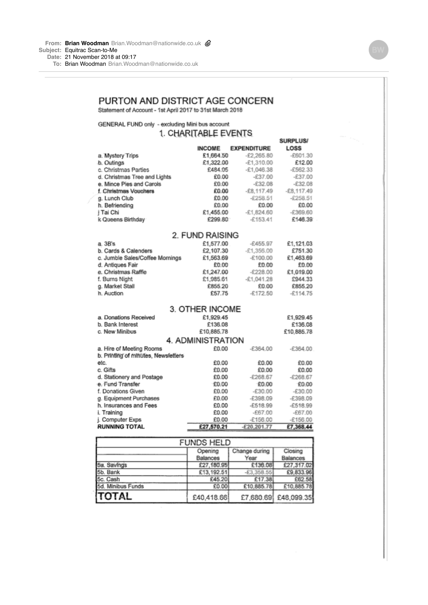**To:** Brian [Woodman](mailto:WoodmanBrian.Woodman@nationwide.co.uk) [Brian.Woodman@nationwide.co.uk](mailto:WoodmanBrian.Woodman@nationwide.co.uk)

# PURTON AND DISTRICT AGE CONCERN

Statement of Account - 1st April 2017 to 31st March 2018

GENERAL FUND only - excluding Mini bus account

# 1. CHARITABLE EVENTS

|                                     |                 |                    | <b>SURPLUS/</b> |  |  |
|-------------------------------------|-----------------|--------------------|-----------------|--|--|
|                                     | <b>INCOME</b>   | <b>EXPENDITURE</b> | <b>LOSS</b>     |  |  |
| a. Mystery Trips                    | £1,664.50       | $-E2,265.80$       | $-£601.30$      |  |  |
| b. Outings                          | £1,322.00       | $-E1,310.00$       | £12.00          |  |  |
| c. Christmas Parties                | £484.05         | $-E1,046.38$       | $-£562.33$      |  |  |
| d. Christmas Tree and Lights        | £0.00           | $-£37.00$          | $-£37.00$       |  |  |
| e. Mince Pies and Carols            | £0.00           | $-£32.08$          | $-E32.08$       |  |  |
| f. Christmas Vouchers               | £0.00           | $-£8,117,49$       | $-E8,117.49$    |  |  |
| g. Lunch Club                       | £0.00           | $-£258.51$         | $-£258.51$      |  |  |
| h. Befriending                      | £0.00           | £0.00              | £0.00           |  |  |
| j Tai Chi                           | £1,455.00       | $-E1.824.60$       | $-£369.60$      |  |  |
| k Queens Birthday                   | £299.80         | $-£153.41$         | £146.39         |  |  |
|                                     | 2. FUND RAISING |                    |                 |  |  |
| a. 3B's                             | £1,577.00       | $-£455.97$         | £1,121.03       |  |  |
| b. Cards & Calenders                | £2,107.30       | $-E1,356.00$       | £751.30         |  |  |
| c. Jumble Sales/Coffee Mornings     | £1,563.69       | $-£100.00$         | £1,463.69       |  |  |
| d. Antiques Fair                    | £0.00           | £0.00              | £0.00           |  |  |
| e. Christmas Raffie                 | £1,247.00       | $-E228.00$         | £1,019.00       |  |  |
| f. Burns Night                      | £1,985.61       | -£1,041.28         | £944.33         |  |  |
| g. Market Stall                     | £855.20         | £0.00              | £855.20         |  |  |
| h. Auction                          | £57.75          | $-£172.50$         | $-£114.75$      |  |  |
|                                     | 3. OTHER INCOME |                    |                 |  |  |
| a. Donations Received               | £1,929.45       |                    | £1,929.45       |  |  |
| b. Bank Interest                    | £136.08         |                    | £136.08         |  |  |
| c. New Minibus                      | £10,885.78      |                    | £10.885.78      |  |  |
| 4. ADMINISTRATION                   |                 |                    |                 |  |  |
| a. Hire of Meeting Rooms            | £0.00           | $-£364.00$         | $-£364.00$      |  |  |
| b. Printing of minutes, Newsletters |                 |                    |                 |  |  |
| etc.                                | £0.00           | £0.00              | £0.00           |  |  |
| c. Gifts                            | £0.00           | £0.00              | £0.00           |  |  |
| d. Stationery and Postage           | £0.00           | $-£268.67$         | $-£268.67$      |  |  |
| e. Fund Transfer                    | £0.00           | £0.00              | £0.00           |  |  |
| f. Donations Given                  | £0.00           | $-£30.00$          | $-£30.00$       |  |  |
| g. Equipment Purchases              | £0.00           | $-£398.09$         | $-£398.09$      |  |  |
| h. Insurances and Fees              | £0.00           | $-E518.99$         | $-£518.99$      |  |  |
| i. Training                         | £0.00           | $-£67.00$          | -£67.00         |  |  |
| j. Computer Exps                    | £0.00           | $-£156.00$         | $-£156.00$      |  |  |
| <b>RUNNING TOTAL</b>                | £27,570.21      | $-E20,201.77$      | £7,368.44       |  |  |
|                                     |                 |                    |                 |  |  |
|                                     |                 |                    |                 |  |  |

| <b>FUNDS HELD</b> |            |               |                      |
|-------------------|------------|---------------|----------------------|
|                   | Opening    | Change during | Closing              |
|                   | Balances   | Year          | <b>Balances</b>      |
| 5a. Savings       | £27,180.95 | £136.08       | £27,317.02           |
| 5b. Bank          | £13,192.51 | $-E3,358.55$  | £9,833.96            |
| 5c. Cash          | £45.20     | £17.38        | £62.58               |
| 5d. Minibus Funds | £0.00      | £10,885.78    | £10,885.78           |
| <b>TOTAL</b>      | £40,418.66 |               | £7,680.69 £48,099.35 |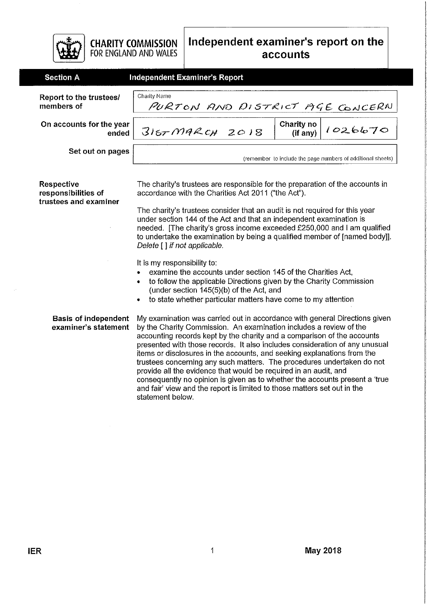

**CHARITY COMMISSION** FOR ENGLAND AND WALES

| <b>Section A</b>                      | Independent Examiner's Report                   |  |                                                             |  |
|---------------------------------------|-------------------------------------------------|--|-------------------------------------------------------------|--|
| Report to the trustees/<br>members of | Charity Name<br>PURTON AND DISTRICT AGE CONCERN |  |                                                             |  |
| On accounts for the year<br>ended     | 3167 M9RCH2018                                  |  |                                                             |  |
| Set out on pages                      |                                                 |  | (remember to include the page numbers of additional sheets) |  |

Respective responsibilities of trustees and examiner The charity's trustees are responsible for the preparation of the accounts in accordance with the Charities Act 2011 ("the Act").

The charity's trustees consider that an audit is not required for this year under section 144 of the Act and that an independent examination is needed. [The charity's gross income exceeded £250,000 and I am qualified to undertake the examination by being a qualified member of [named body]]. Delete [] if not applicable.

It is my responsibility to:

- examine the accounts under section 145 of the Charities Act.  $\bullet$
- to follow the applicable Directions given by the Charity Commission (under section 145(5)(b) of the Act, and
- to state whether particular matters have come to my attention

**Basis of independent** My examination was carried out in accordance with general Directions given examiner's statement by the Charity Commission. An examination includes a review of the accounting records kept by the charity and a comparison of the accounts presented with those records. It also includes consideration of any unusual items or disclosures in the accounts, and seeking explanations from the trustees concerning any such matters. The procedures undertaken do not provide all the evidence that would be required in an audit, and consequently no opinion is given as to whether the accounts present a 'true and fair' view and the report is limited to those matters set out in the statement below.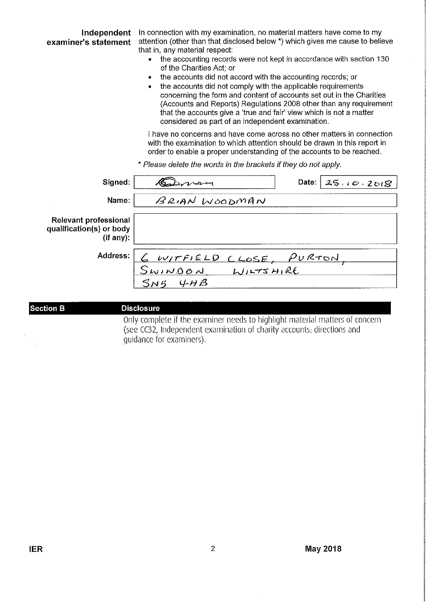| Independent<br>examiner's statement                                   | In connection with my examination, no material matters have come to my<br>attention (other than that disclosed below *) which gives me cause to believe<br>that in, any material respect:<br>the accounting records were not kept in accordance with section 130<br>of the Charities Act; or<br>the accounts did not accord with the accounting records; or<br>٠<br>the accounts did not comply with the applicable requirements<br>۰<br>concerning the form and content of accounts set out in the Charities<br>(Accounts and Reports) Regulations 2008 other than any requirement<br>that the accounts give a 'true and fair' view which is not a matter<br>considered as part of an independent examination. |  |                    |
|-----------------------------------------------------------------------|-----------------------------------------------------------------------------------------------------------------------------------------------------------------------------------------------------------------------------------------------------------------------------------------------------------------------------------------------------------------------------------------------------------------------------------------------------------------------------------------------------------------------------------------------------------------------------------------------------------------------------------------------------------------------------------------------------------------|--|--------------------|
|                                                                       | I have no concerns and have come across no other matters in connection<br>with the examination to which attention should be drawn in this report in<br>order to enable a proper understanding of the accounts to be reached.<br>* Please delete the words in the brackets if they do not apply.                                                                                                                                                                                                                                                                                                                                                                                                                 |  |                    |
| Signed:                                                               |                                                                                                                                                                                                                                                                                                                                                                                                                                                                                                                                                                                                                                                                                                                 |  | Date: $25.10.2018$ |
| Name:                                                                 | BRIAN WOODMAN                                                                                                                                                                                                                                                                                                                                                                                                                                                                                                                                                                                                                                                                                                   |  |                    |
| <b>Relevant professional</b><br>qualification(s) or body<br>(if any): |                                                                                                                                                                                                                                                                                                                                                                                                                                                                                                                                                                                                                                                                                                                 |  |                    |
| Address:                                                              |                                                                                                                                                                                                                                                                                                                                                                                                                                                                                                                                                                                                                                                                                                                 |  |                    |
|                                                                       | <u>G WITFIELD CLOSE, PURTON,</u><br>SWINDON, WILTSHIRE                                                                                                                                                                                                                                                                                                                                                                                                                                                                                                                                                                                                                                                          |  |                    |
|                                                                       |                                                                                                                                                                                                                                                                                                                                                                                                                                                                                                                                                                                                                                                                                                                 |  |                    |

# **Section B**

#### **Disclosure**

Only complete if the examiner needs to highlight material matters of concern (see CC32, Independent examination of charity accounts: directions and guidance for examiners).

 $\hat{\mathcal{A}}$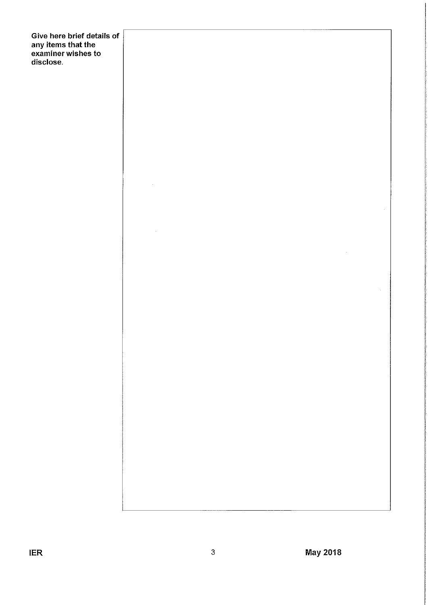Give here brief details of any items that the<br>examiner wishes to<br>disclose.